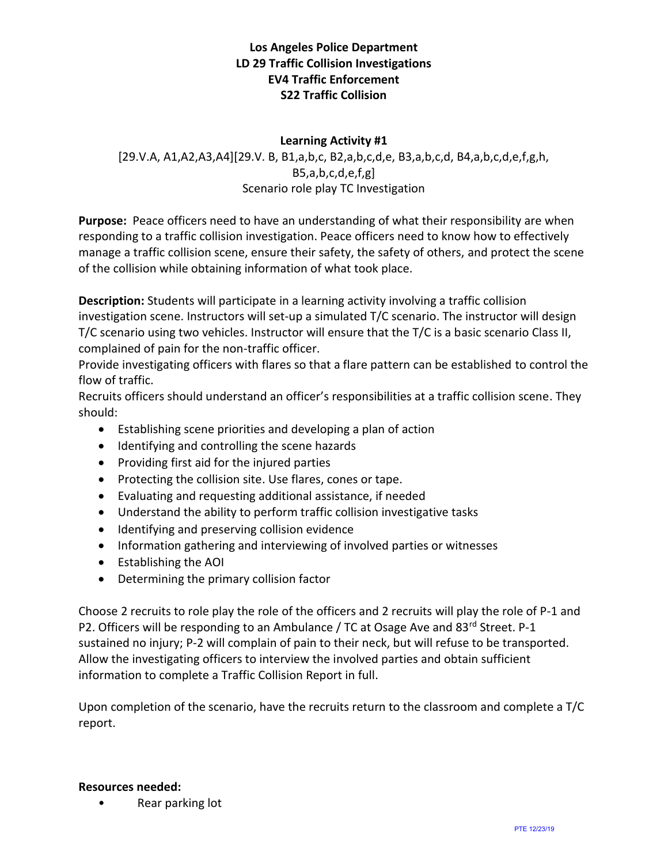## **Los Angeles Police Department LD 29 Traffic Collision Investigations EV4 Traffic Enforcement S22 Traffic Collision**

### **Learning Activity #1**

[29.V.A, A1,A2,A3,A4][29.V. B, B1,a,b,c, B2,a,b,c,d,e, B3,a,b,c,d, B4,a,b,c,d,e,f,g,h, B5,a,b,c,d,e,f,g] Scenario role play TC Investigation

**Purpose:** Peace officers need to have an understanding of what their responsibility are when responding to a traffic collision investigation. Peace officers need to know how to effectively manage a traffic collision scene, ensure their safety, the safety of others, and protect the scene of the collision while obtaining information of what took place.

**Description:** Students will participate in a learning activity involving a traffic collision investigation scene. Instructors will set-up a simulated T/C scenario. The instructor will design T/C scenario using two vehicles. Instructor will ensure that the T/C is a basic scenario Class II, complained of pain for the non-traffic officer.

Provide investigating officers with flares so that a flare pattern can be established to control the flow of traffic.

Recruits officers should understand an officer's responsibilities at a traffic collision scene. They should:

- Establishing scene priorities and developing a plan of action
- Identifying and controlling the scene hazards
- Providing first aid for the injured parties
- Protecting the collision site. Use flares, cones or tape.
- Evaluating and requesting additional assistance, if needed
- Understand the ability to perform traffic collision investigative tasks
- Identifying and preserving collision evidence
- Information gathering and interviewing of involved parties or witnesses
- Establishing the AOI
- Determining the primary collision factor

Choose 2 recruits to role play the role of the officers and 2 recruits will play the role of P-1 and P2. Officers will be responding to an Ambulance / TC at Osage Ave and 83rd Street. P-1 sustained no injury; P-2 will complain of pain to their neck, but will refuse to be transported. Allow the investigating officers to interview the involved parties and obtain sufficient information to complete a Traffic Collision Report in full.

Upon completion of the scenario, have the recruits return to the classroom and complete a T/C report.

#### **Resources needed:**

• Rear parking lot